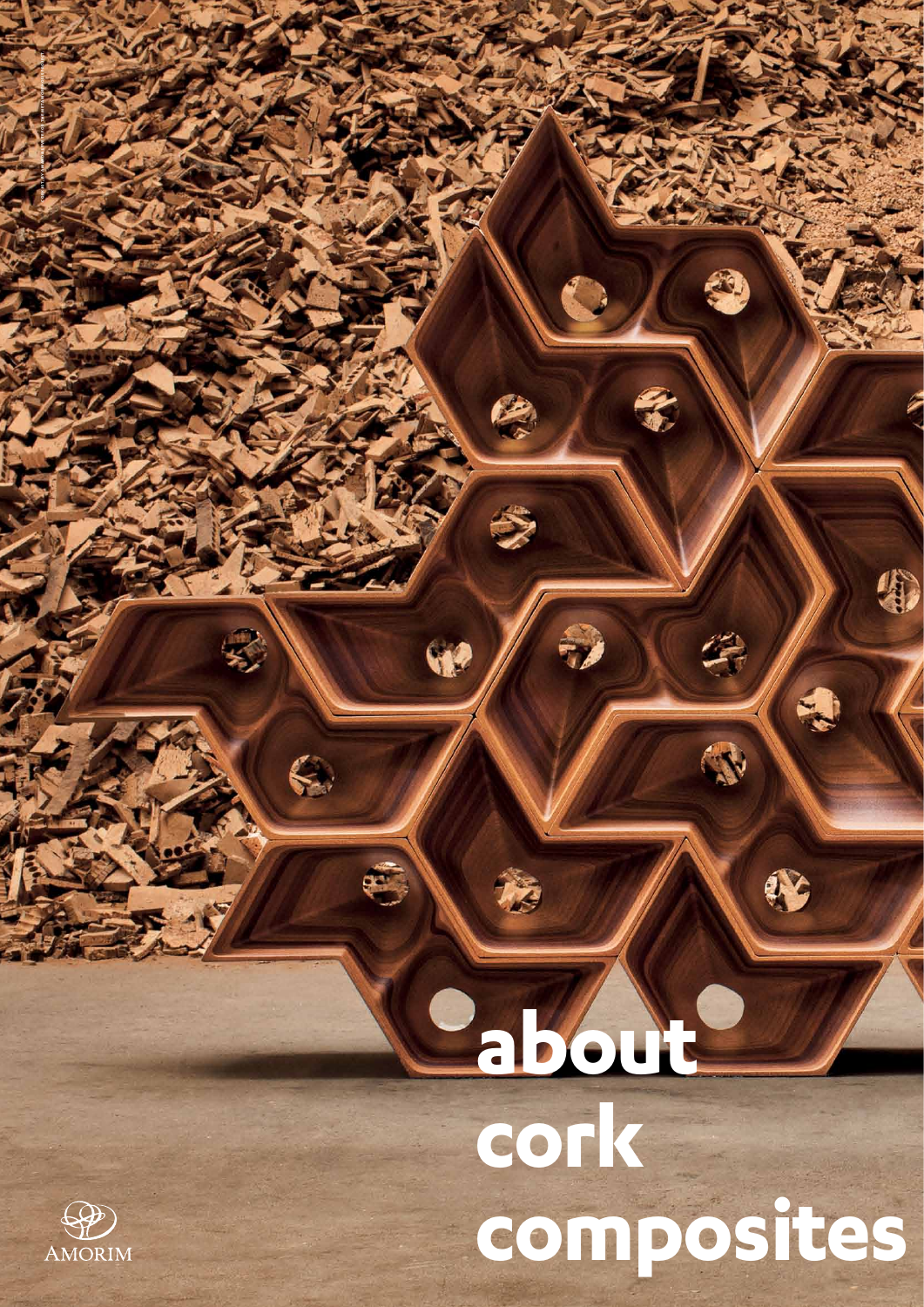# **about**